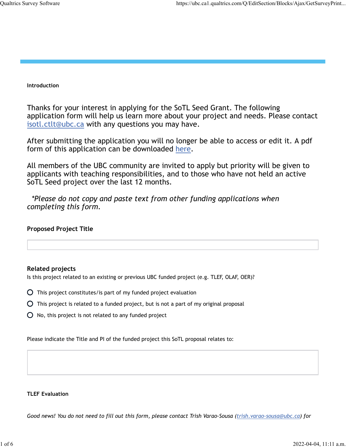#### **Introduction**

Thanks for your interest in applying for the SoTL Seed Grant. The following application form will help us learn more about your project and needs. Please contact isotl.ctlt@ubc.ca with any questions you may have.

After submitting the application you will no longer be able to access or edit it. A pdf form of this application can be downloaded here.

All members of the UBC community are invited to apply but priority will be given to applicants with teaching responsibilities, and to those who have not held an active SoTL Seed project over the last 12 months.

 *\*Please do not copy and paste text from other funding applications when completing this form.*

### **Proposed Project Title**

### **Related projects**

Is this project related to an existing or previous UBC funded project (e.g. TLEF, OLAF, OER)?

- $\overline{O}$  This project constitutes/is part of my funded project evaluation
- This project is related to a funded project, but is not a part of my original proposal
- $O$  No, this project is not related to any funded project

Please indicate the Title and PI of the funded project this SoTL proposal relates to:

#### **TLEF Evaluation**

*Good news! You do not need to fill out this form, please contact Trish Varao-Sousa (trish.varao-sousa@ubc.ca) for*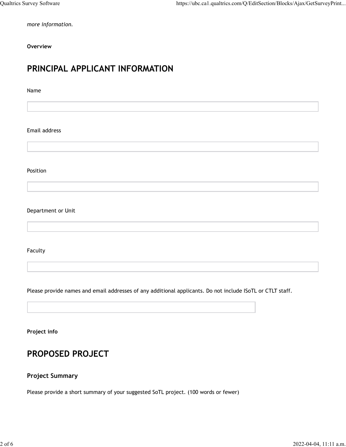*more information.*

**Overview**

# **PRINCIPAL APPLICANT INFORMATION**

Name

Email address

Position

Department or Unit

Faculty

Please provide names and email addresses of any additional applicants. Do not include ISoTL or CTLT staff.

**Project info**

# **PROPOSED PROJECT**

# **Project Summary**

Please provide a short summary of your suggested SoTL project. (100 words or fewer)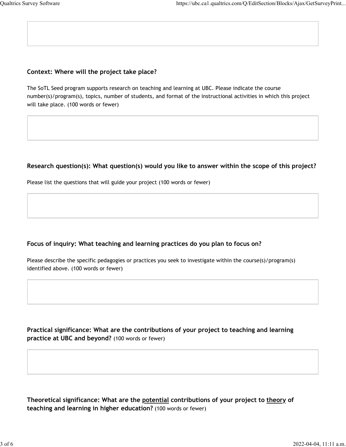### **Context: Where will the project take place?**

The SoTL Seed program supports research on teaching and learning at UBC. Please indicate the course number(s)/program(s), topics, number of students, and format of the instructional activities in which this project will take place. (100 words or fewer)

# **Research question(s): What question(s) would you like to answer within the scope of this project?**

Please list the questions that will guide your project (100 words or fewer)

# **Focus of inquiry: What teaching and learning practices do you plan to focus on?**

Please describe the specific pedagogies or practices you seek to investigate within the course(s)/program(s) identified above. (100 words or fewer)

**Practical significance: What are the contributions of your project to teaching and learning practice at UBC and beyond?** (100 words or fewer)

**Theoretical significance: What are the potential contributions of your project to theory of teaching and learning in higher education?** (100 words or fewer)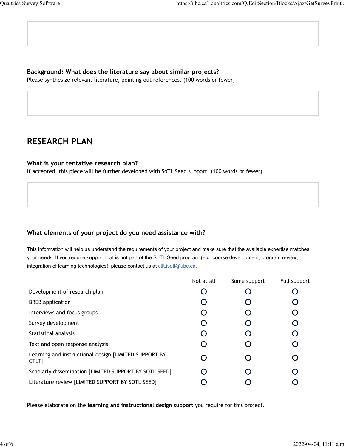# **Background: What does the literature say about similar projects?**

Please synthesize relevant literature, pointing out references. (100 words or fewer)

# **RESEARCH PLAN**

#### **What is your tentative research plan?**

If accepted, this piece will be further developed with SoTL Seed support. (100 words or fewer)

### **What elements of your project do you need assistance with?**

This information will help us understand the requirements of your project and make sure that the available expertise matches your needs. If you require support that is not part of the SoTL Seed program (e.g. course development, program review, integration of learning technologies), please contact us at ctlt.isotl@ubc.ca.

|                                                                | Not at all | Some support | Full support |
|----------------------------------------------------------------|------------|--------------|--------------|
| Development of research plan                                   |            |              |              |
| <b>BREB</b> application                                        |            |              |              |
| Interviews and focus groups                                    |            |              |              |
| Survey development                                             |            |              |              |
| Statistical analysis                                           |            |              |              |
| Text and open response analysis                                |            |              | O            |
| Learning and instructional design [LIMITED SUPPORT BY<br>CTLT] |            |              |              |
| Scholarly dissemination [LIMITED SUPPORT BY SOTL SEED]         | ∩          |              |              |
| Literature review [LIMITED SUPPORT BY SOTL SEED]               |            |              |              |

Please elaborate on the **learning and instructional design support** you require for this project.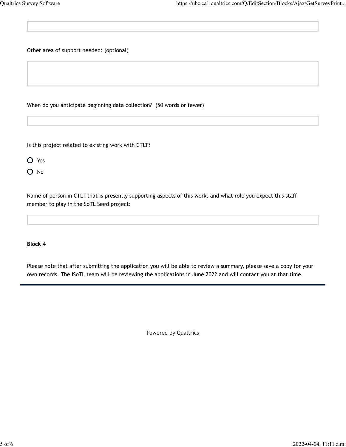Other area of support needed: (optional)

When do you anticipate beginning data collection? (50 words or fewer)

Is this project related to existing work with CTLT?

O Yes

O No

Name of person in CTLT that is presently supporting aspects of this work, and what role you expect this staff member to play in the SoTL Seed project:

**Block 4**

Please note that after submitting the application you will be able to review a summary, please save a copy for your own records. The ISoTL team will be reviewing the applications in June 2022 and will contact you at that time.

Powered by Qualtrics